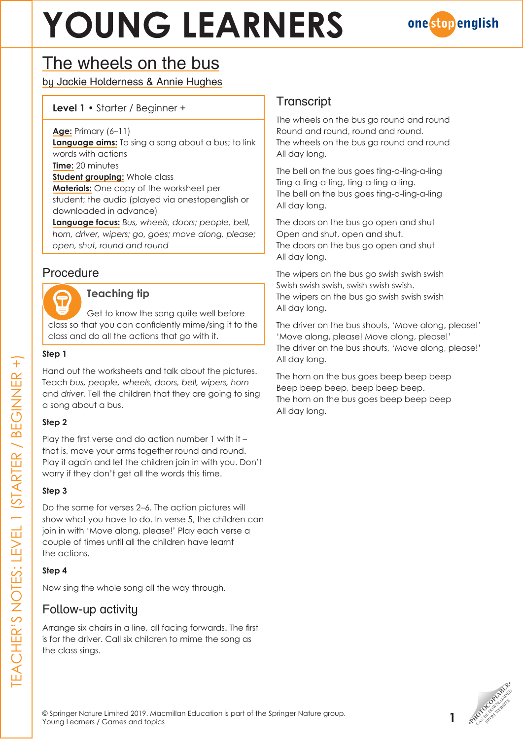# **YOUNG LEARNERS**



## The wheels on the bus

by Jackie Holderness & Annie Hughes

#### **Level 1** • Starter / Beginner +

**Age:** Primary (6–11)

**Language aims:** To sing a song about a bus; to link words with actions

**Time:** 20 minutes

**Student grouping:** Whole class

**Materials:** One copy of the worksheet per student; the audio (played via onestopenglish or downloaded in advance)

**Language focus:** *Bus, wheels, doors; people, bell, horn, driver, wipers; go, goes; move along, please; open, shut, round and round*

## Procedure

#### **Teaching tip**

Get to know the song quite well before class so that you can confidently mime/sing it to the class and do all the actions that go with it.

#### **Step 1**

Hand out the worksheets and talk about the pictures. Teach *bus, people, wheels, doors, bell, wipers, horn* and *driver*. Tell the children that they are going to sing a song about a bus.

#### **Step 2**

Play the first verse and do action number 1 with it – that is, move your arms together round and round. Play it again and let the children join in with you. Don't worry if they don't get all the words this time.

#### **Step 3**

Do the same for verses 2–6. The action pictures will show what you have to do. In verse 5, the children can join in with 'Move along, please!' Play each verse a couple of times until all the children have learnt the actions.

#### **Step 4**

Now sing the whole song all the way through.

### Follow-up activity

Arrange six chairs in a line, all facing forwards. The first is for the driver. Call six children to mime the song as the class sings.

## **Transcript**

The wheels on the bus go round and round Round and round, round and round. The wheels on the bus go round and round All day long.

The bell on the bus goes ting-a-ling-a-ling Ting-a-ling-a-ling, ting-a-ling-a-ling. The bell on the bus goes ting-a-ling-a-ling All day long.

The doors on the bus go open and shut Open and shut, open and shut. The doors on the bus go open and shut All day long.

The wipers on the bus go swish swish swish Swish swish swish, swish swish swish. The wipers on the bus go swish swish swish All day long.

The driver on the bus shouts, 'Move along, please!' 'Move along, please! Move along, please!' The driver on the bus shouts, 'Move along, please!' All day long.

The horn on the bus goes beep beep beep Beep beep beep, beep beep beep. The horn on the bus goes beep beep beep All day long.